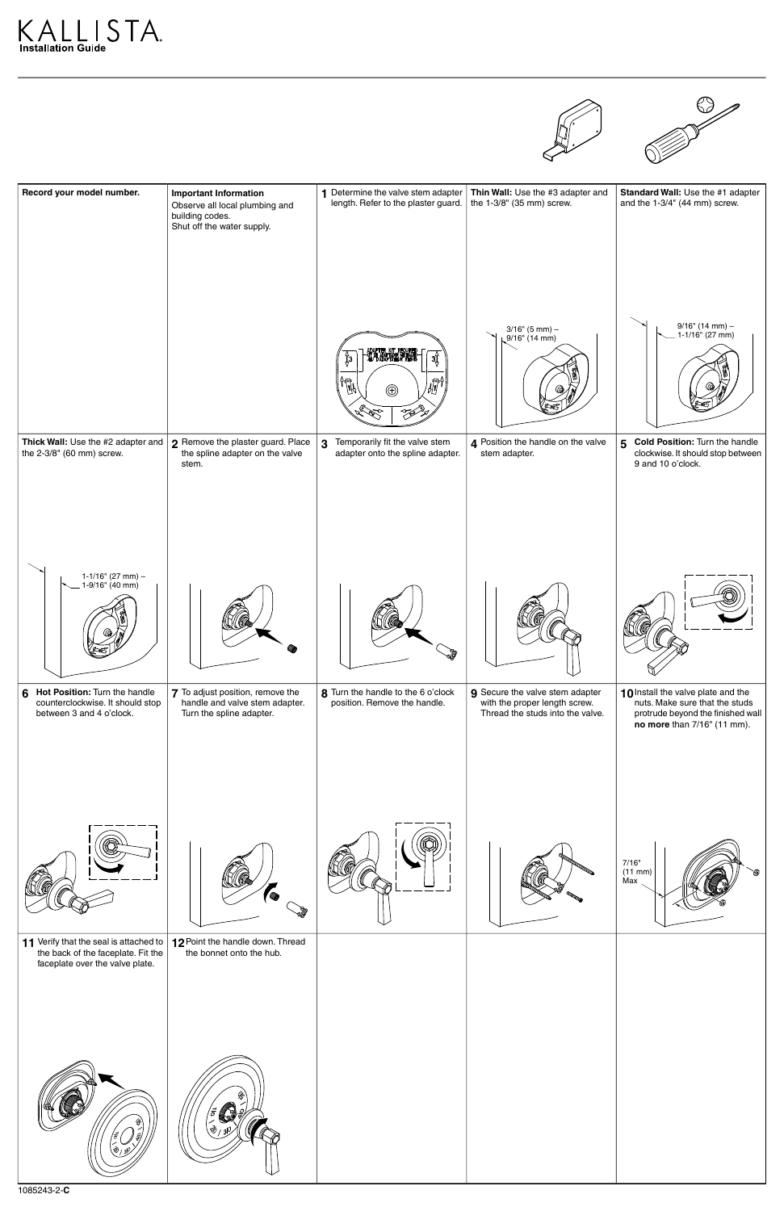





| Record your model number.                                                                          | <b>Important Information</b><br>Observe all local plumbing and<br>building codes.<br>Shut off the water supply. | 1 Determine the valve stem adapter<br>length. Refer to the plaster guard.                                                              | Thin Wall: Use the #3 adapter and<br>the 1-3/8" (35 mm) screw.                                       | Standard Wall: Use the #1 adapter<br>and the 1-3/4" (44 mm) screw.                                                                       |
|----------------------------------------------------------------------------------------------------|-----------------------------------------------------------------------------------------------------------------|----------------------------------------------------------------------------------------------------------------------------------------|------------------------------------------------------------------------------------------------------|------------------------------------------------------------------------------------------------------------------------------------------|
|                                                                                                    |                                                                                                                 | ADAPTER KIT REQUIRED<br>FIT DE ADAPTADOR NÉCESARIO<br>JEU D'ADAPTATEUR REQUIS<br>Įз<br>ЗĬ<br>$\mathbb{H}^{\uparrow}$<br>$\circledcirc$ | $3/16$ " (5 mm) -<br>$9/16$ " (14 mm)                                                                | $9/16$ " (14 mm) -<br>1-1/16" (27 mm)                                                                                                    |
| Thick Wall: Use the #2 adapter and<br>the 2-3/8" (60 mm) screw.                                    | 2 Remove the plaster guard. Place<br>the spline adapter on the valve<br>stem.                                   | Temporarily fit the valve stem<br>$\mathbf{3}$<br>adapter onto the spline adapter.                                                     | 4 Position the handle on the valve<br>stem adapter.                                                  | 5<br><b>Cold Position: Turn the handle</b><br>clockwise. It should stop between<br>9 and 10 o'clock.                                     |
| $1 - 1/16$ " (27 mm) -<br>$1-9/16$ " (40 mm)                                                       |                                                                                                                 |                                                                                                                                        |                                                                                                      |                                                                                                                                          |
| Hot Position: Turn the handle<br>6<br>counterclockwise. It should stop<br>between 3 and 4 o'clock. | 7 To adjust position, remove the<br>handle and valve stem adapter.<br>Turn the spline adapter.                  | 8 Turn the handle to the 6 o'clock<br>position. Remove the handle.                                                                     | 9 Secure the valve stem adapter<br>with the proper length screw.<br>Thread the studs into the valve. | 10 Install the valve plate and the<br>nuts. Make sure that the studs<br>protrude beyond the finished wall<br>no more than 7/16" (11 mm). |
|                                                                                                    |                                                                                                                 |                                                                                                                                        |                                                                                                      | 7/16"<br>(11 mm)<br>Max                                                                                                                  |